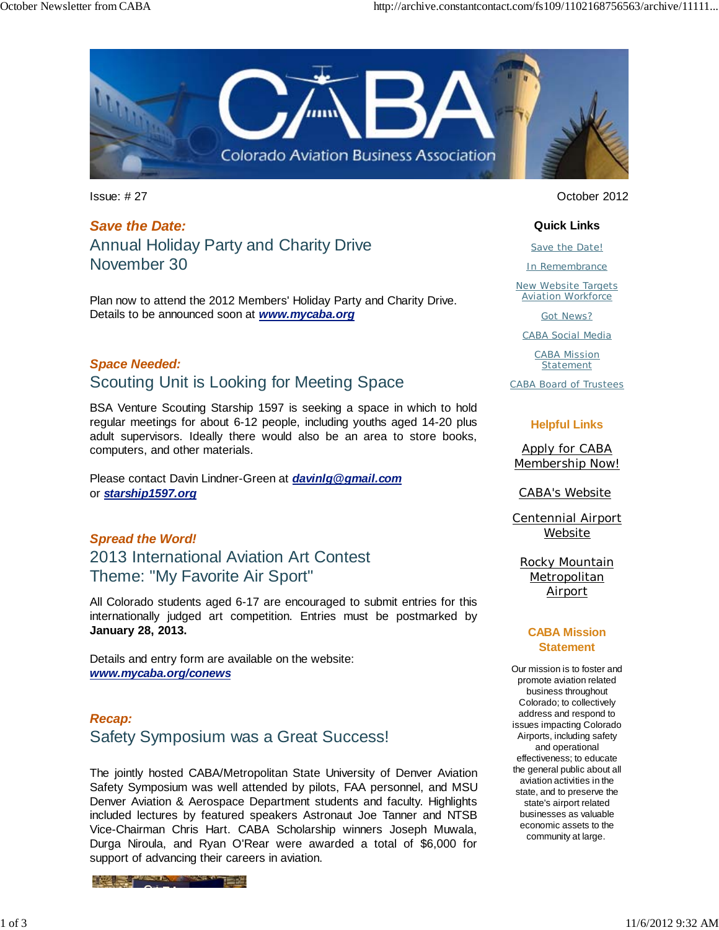

Issue: # 27 October 2012

*Save the Date:* Annual Holiday Party and Charity Drive November 30

Plan now to attend the 2012 Members' Holiday Party and Charity Drive. Details to be announced soon at *www.mycaba.org*

## *Space Needed:* Scouting Unit is Looking for Meeting Space

BSA Venture Scouting Starship 1597 is seeking a space in which to hold regular meetings for about 6-12 people, including youths aged 14-20 plus adult supervisors. Ideally there would also be an area to store books, computers, and other materials.

Please contact Davin Lindner-Green at *davinlg@gmail.com* or *starship1597.org*

*Spread the Word!* 2013 International Aviation Art Contest Theme: "My Favorite Air Sport"

All Colorado students aged 6-17 are encouraged to submit entries for this internationally judged art competition. Entries must be postmarked by **January 28, 2013.** 

Details and entry form are available on the website: *www.mycaba.org/conews*

### *Recap:* Safety Symposium was a Great Success!

The jointly hosted CABA/Metropolitan State University of Denver Aviation Safety Symposium was well attended by pilots, FAA personnel, and MSU Denver Aviation & Aerospace Department students and faculty. Highlights included lectures by featured speakers Astronaut Joe Tanner and NTSB Vice-Chairman Chris Hart. CABA Scholarship winners Joseph Muwala, Durga Niroula, and Ryan O'Rear were awarded a total of \$6,000 for support of advancing their careers in aviation.



#### **Quick Links**

Save the Date!

In Remembrance

New Website Targets Aviation Workforce

Got News?

CABA Social Media

CABA Mission **Statement** 

CABA Board of Trustees

#### **Helpful Links**

Apply for CABA Membership Now!

CABA's Website

Centennial Airport Website

Rocky Mountain **Metropolitan** Airport

#### **CABA Mission Statement**

Our mission is to foster and promote aviation related business throughout Colorado; to collectively address and respond to issues impacting Colorado Airports, including safety and operational effectiveness; to educate the general public about all aviation activities in the state, and to preserve the state's airport related businesses as valuable economic assets to the community at large.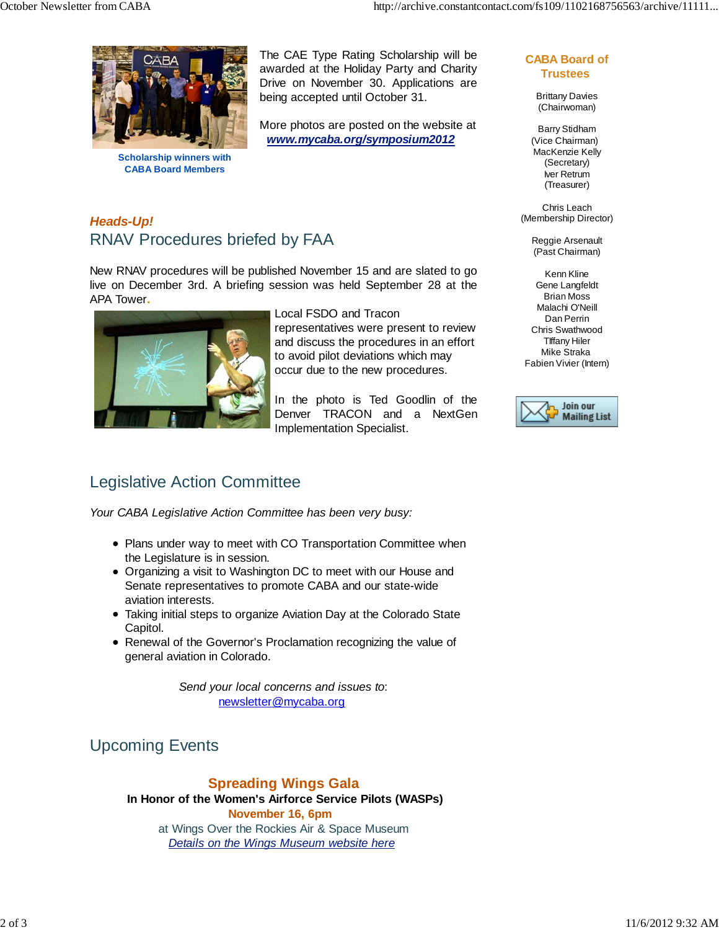

**Scholarship winners with CABA Board Members**

The CAE Type Rating Scholarship will be awarded at the Holiday Party and Charity Drive on November 30. Applications are being accepted until October 31.

More photos are posted on the website at *www.mycaba.org/symposium2012*

#### **CABA Board of Trustees**

Brittany Davies (Chairwoman)

Barry Stidham (Vice Chairman) MacKenzie Kelly (Secretary) Iver Retrum (Treasurer)

Chris Leach (Membership Director)

> Reggie Arsenault (Past Chairman)

Kenn Kline Gene Langfeldt Brian Moss Malachi O'Neill Dan Perrin Chris Swathwood TIffany Hiler Mike Straka Fabien Vivier (Intern)



## *Heads-Up!* RNAV Procedures briefed by FAA

New RNAV procedures will be published November 15 and are slated to go live on December 3rd. A briefing session was held September 28 at the APA Tower**.** 



Local FSDO and Tracon representatives were present to review and discuss the procedures in an effort to avoid pilot deviations which may occur due to the new procedures.

In the photo is Ted Goodlin of the Denver TRACON and a NextGen Implementation Specialist.

## Legislative Action Committee

*Your CABA Legislative Action Committee has been very busy:*

- Plans under way to meet with CO Transportation Committee when the Legislature is in session.
- Organizing a visit to Washington DC to meet with our House and Senate representatives to promote CABA and our state-wide aviation interests.
- Taking initial steps to organize Aviation Day at the Colorado State Capitol.
- Renewal of the Governor's Proclamation recognizing the value of general aviation in Colorado.

*Send your local concerns and issues to*: newsletter@mycaba.org

# Upcoming Events

**Spreading Wings Gala**

 **In Honor of the Women's Airforce Service Pilots (WASPs) November 16, 6pm**

at Wings Over the Rockies Air & Space Museum *Details on the Wings Museum website here*